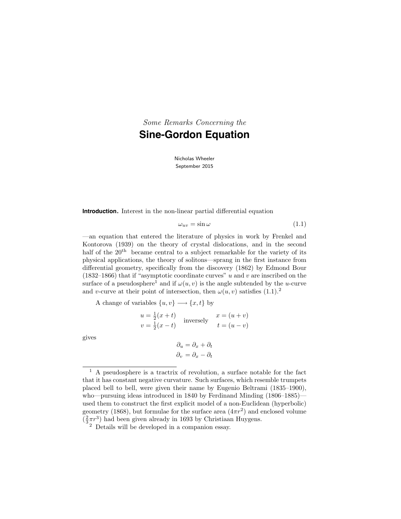*Some Remarks Concerning the* **Sine-Gordon Equation**

> Nicholas Wheeler September 2015

**Introduction.** Interest in the non-linear partial differential equation

$$
\omega_{uv} = \sin \omega \tag{1.1}
$$

—an equation that entered the literature of physics in work by Frenkel and Kontorova (1939) on the theory of crystal dislocations, and in the second half of the  $20<sup>th</sup>$  became central to a subject remarkable for the variety of its physical applications, the theory of solitons—sprang in the first instance from differential geometry, specifically from the discovery (1862) by Edmond Bour (1832–1866) that if "asymptotic coordinate curves"  $u$  and  $v$  are inscribed on the surface of a pseudosphere<sup>1</sup> and if  $\omega(u, v)$  is the angle subtended by the u-curve and v-curve at their point of intersection, then  $\omega(u, v)$  satisfies  $(1.1).^2$ 

A change of variables  $\{u, v\} \longrightarrow \{x, t\}$  by

$$
u = \frac{1}{2}(x+t)
$$
  
 
$$
v = \frac{1}{2}(x-t)
$$
 inversely 
$$
x = (u+v)
$$
  
 
$$
t = (u-v)
$$

gives

$$
\partial_u = \partial_x + \partial_t
$$

$$
\partial_v = \partial_x - \partial_t
$$

 $<sup>1</sup>$  A pseudosphere is a tractrix of revolution, a surface notable for the fact</sup> that it has constant negative curvature. Such surfaces, which resemble trumpets placed bell to bell, were given their name by Eugenio Beltrami (1835–1900), who—pursuing ideas introduced in 1840 by Ferdinand Minding (1806–1885) used them to construct the first explicit model of a non-Euclidean (hyperbolic) geometry (1868), but formulae for the surface area  $(4\pi r^2)$  and enclosed volume  $(\frac{2}{3}\pi r^3)$  had been given already in 1693 by Christiaan Huygens.

<sup>2</sup> Details will be developed in a companion essay.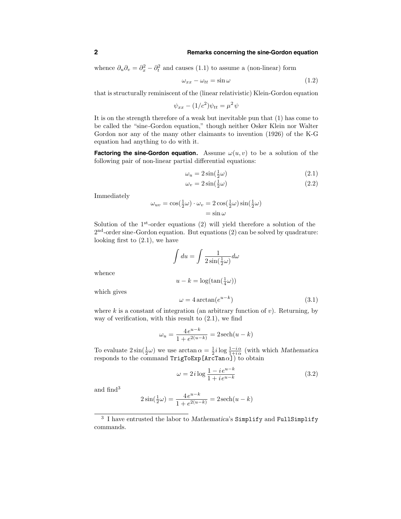whence  $\partial_u \partial_v = \partial_x^2 - \partial_t^2$  and causes (1.1) to assume a (non-linear) form

$$
\omega_{xx} - \omega_{tt} = \sin \omega \tag{1.2}
$$

that is structurally reminiscent of the (linear relativistic) Klein-Gordon equation

$$
\psi_{xx} - (1/c^2)\psi_{tt} = \mu^2 \psi
$$

It is on the strength therefore of a weak but inevitable pun that (1) has come to be called the "sine-Gordon equation," though neither Osker Klein nor Walter Gordon nor any of the many other claimants to invention (1926) of the K-G equation had anything to do with it.

**Factoring the sine-Gordon equation.** Assume  $\omega(u, v)$  to be a solution of the following pair of non-linear partial differential equations:

$$
\omega_u = 2\sin(\frac{1}{2}\omega) \tag{2.1}
$$

$$
\omega_v = 2\sin(\frac{1}{2}\omega) \tag{2.2}
$$

Immediately

$$
\omega_{uv} = \cos(\frac{1}{2}\omega) \cdot \omega_v = 2\cos(\frac{1}{2}\omega)\sin(\frac{1}{2}\omega)
$$

$$
= \sin \omega
$$

Solution of the  $1<sup>st</sup>$ -order equations (2) will yield therefore a solution of the  $2<sup>nd</sup>$ -order sine-Gordon equation. But equations (2) can be solved by quadrature: looking first to (2.1), we have

$$
\int du = \int \frac{1}{2\sin(\frac{1}{2}\omega)} d\omega
$$
  

$$
u - k = \log(\tan(\frac{1}{4}\omega))
$$
  

$$
\omega = 4 \arctan(e^{u-k})
$$
 (3.1)

which gives

whence

where k is a constant of integration (an arbitrary function of  $v$ ). Returning, by way of verification, with this result to  $(2.1)$ , we find

$$
\omega_u = \frac{4e^{u-k}}{1 + e^{2(u-k)}} = 2\operatorname{sech}(u-k)
$$

To evaluate  $2\sin(\frac{1}{2}\omega)$  we use  $\arctan \alpha = \frac{1}{2}i \log \frac{1-i\alpha}{1+i\alpha}$  (with which Mathematica  $\mathop{\mathsf{resp}}\nolimits\mathop{\mathsf{Ind}}\nolimits\mathop{\mathsf{Hom}}\nolimits\mathop{\mathsf{Ind}}\nolimits\mathop{\mathsf{TrigToExp}}\nolimits\mathop{\mathsf{LarcTan}}\nolimits\alpha\mathop{\mathsf{I}}\nolimits)$  to obtain

$$
\omega = 2i \log \frac{1 - i e^{u - k}}{1 + i e^{u - k}} \tag{3.2}
$$

and find<sup>3</sup>

$$
2\sin(\frac{1}{2}\omega) = \frac{4e^{u-k}}{1+e^{2(u-k)}} = 2\operatorname{sech}(u-k)
$$

<sup>&</sup>lt;sup>3</sup> I have entrusted the labor to Mathematica's Simplify and FullSimplify commands.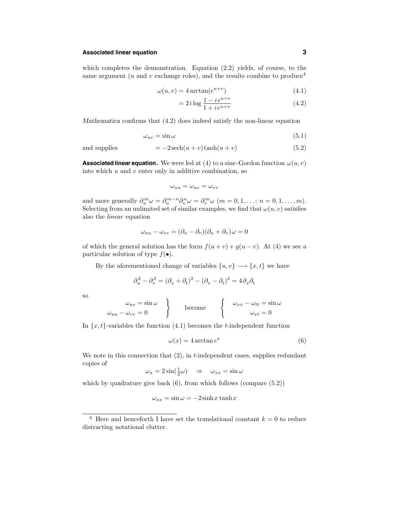# **Associated linear equation 3**

which completes the demonstration. Equation (2.2) yields, of course, to the same argument (u and v exchange roles), and the results combine to produce<sup>4</sup>

$$
\omega(u, v) = 4 \arctan(e^{u+v}) \tag{4.1}
$$

$$
= 2i \log \frac{1 - i e^{u+v}}{1 + i e^{u+v}}
$$
(4.2)

Mathematica confirms that (4.2) does indeed satisfy the non-linear equation

$$
\omega_{uv} = \sin \omega \tag{5.1}
$$

and supplies 
$$
= -2\operatorname{sech}(u+v)\tanh(u+v)
$$
 (5.2)

**Associated linear equation.** We were led at (4) to a sine-Gordon function  $\omega(u, v)$ into which  $u$  and  $v$  enter only in additive combination, so

$$
\omega_{uu}=\omega_{uv}=\omega_{vv}
$$

and more generally  $\partial_u^m \omega = \partial_u^{m-n} \partial_v^n \omega = \partial_v^m \omega$   $(m = 0, 1, \dots, n = 0, 1, \dots, m)$ . Selecting from an unlimited set of similar examples, we find that  $\omega(u, v)$  satisfies also the linear equation

$$
\omega_{uu} - \omega_{vv} = (\partial_u - \partial_v)(\partial_u + \partial_v)\omega = 0
$$

of which the general solution has the form  $f(u + v) + g(u - v)$ . At (4) we see a particular solution of type  $f(\bullet)$ .

By the aforementioned change of variables  $\{u, v\} \longrightarrow \{x, t\}$  we have

$$
\partial_u^2 - \partial_v^2 = (\partial_x + \partial_t)^2 - (\partial_x - \partial_t)^2 = 4\partial_x\partial_t
$$

so

$$
\omega_{uv} = \sin \omega
$$
\n
$$
\omega_{uu} - \omega_{vv} = 0
$$
\nbecome\n
$$
\begin{cases}\n\omega_{xx} - \omega_{tt} = \sin \omega \\
\omega_{xt} = 0\n\end{cases}
$$

In  $\{x,t\}$ -variables the function  $(4.1)$  becomes the *t*-independent function

$$
\omega(x) = 4 \arctan e^x \tag{6}
$$

We note in this connection that  $(2)$ , in *t*-independent cases, supplies redundant copies of

$$
\omega_x = 2\sin(\frac{1}{2}\omega) \quad \Rightarrow \quad \omega_{xx} = \sin\omega
$$

which by quadrature give back  $(6)$ , from which follows  $(compare (5.2))$ 

$$
\omega_{xx} = \sin \omega = -2\sinh x \tanh x
$$

<sup>&</sup>lt;sup>4</sup> Here and henceforth I have set the translational constant  $k = 0$  to reduce distracting notational clutter.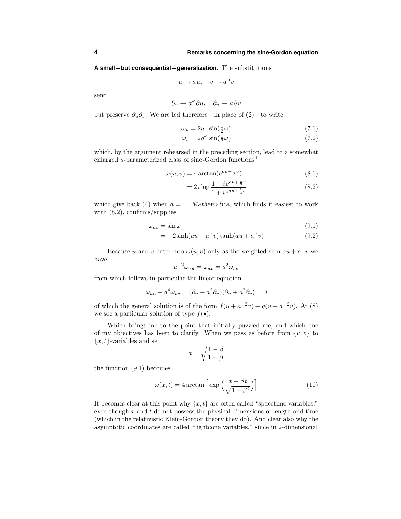**A small—but consequential—generalization.** The substitutions

$$
u \to au, \quad v \to a^{-1}v
$$

send

$$
\partial_u \to a^{-1} \partial u, \quad \partial_v \to a \partial v
$$

but preserve  $\partial_u \partial_v$ . We are led therefore—in place of (2)—to write

$$
\omega_u = 2a \sin(\frac{1}{2}\omega) \tag{7.1}
$$

$$
\omega_v = 2a^{-1}\sin(\frac{1}{2}\omega) \tag{7.2}
$$

which, by the argument rehearsed in the preceding section, lead to a somewhat enlarged a-parameterized class of sine-Gordon functions<sup>4</sup>

$$
\omega(u,v) = 4 \arctan(e^{au + \frac{1}{a}v})
$$
\n(8.1)

$$
= 2i \log \frac{1 - i e^{au + \frac{1}{a}v}}{1 + i e^{au + \frac{1}{a}v}} \tag{8.2}
$$

which give back (4) when  $a = 1$ . Mathematica, which finds it easiest to work with  $(8.2)$ , confirms/supplies

$$
\omega_{uv} = \sin \omega \tag{9.1}
$$

$$
= -2\sinh(au + a^{-1}v)\tanh(au + a^{-1}v)
$$
\n(9.2)

Because u and v enter into  $\omega(u, v)$  only as the weighted sum  $au + a^{-1}v$  we have

$$
a^{-2}\omega_{uu} = \omega_{uv} = a^2\omega_{vv}
$$

from which follows in particular the linear equation

$$
\omega_{uu} - a^4 \omega_{vv} = (\partial_u - a^2 \partial_v)(\partial_u + a^2 \partial_v) = 0
$$

of which the general solution is of the form  $f(u + a^{-2}v) + g(u - a^{-2}v)$ . At (8) we see a particular solution of type  $f(\bullet)$ .

Which brings me to the point that initially puzzled me, and which one of my objectives has been to clarify. When we pass as before from  $\{u, v\}$  to  ${x, t}$ -variables and set

$$
a = \sqrt{\frac{1-\beta}{1+\beta}}
$$

the function (9.1) becomes

$$
\omega(x,t) = 4 \arctan\left[\exp\left(\frac{x - \beta t}{\sqrt{1 - \beta^2}}\right)\right]
$$
 (10)

It becomes clear at this point why  $\{x, t\}$  are often called "spacetime variables," even though  $x$  and  $t$  do not possess the physical dimensions of length and time (which in the relativistic Klein-Gordon theory they do). And clear also why the asymptotic coordinates are called "lightcone variables," since in 2-dimensional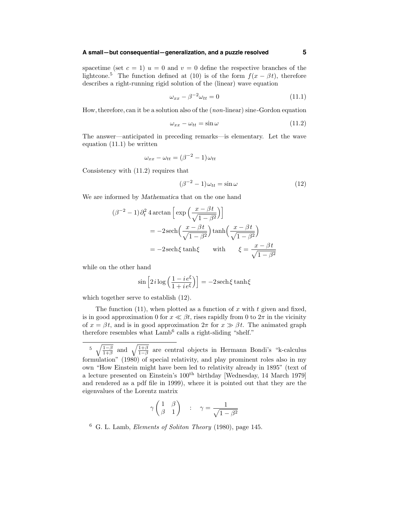# **A small—but consequential—generalization, and a puzzle resolved 5**

spacetime (set  $c = 1$ )  $u = 0$  and  $v = 0$  define the respective branches of the lightcone.<sup>5</sup> The function defined at (10) is of the form  $f(x - \beta t)$ , therefore describes a right-running rigid solution of the (linear) wave equation

$$
\omega_{xx} - \beta^{-2}\omega_{tt} = 0 \tag{11.1}
$$

How,therefore, can it be a solution also of the (non-linear) sine-Gordon equation

$$
\omega_{xx} - \omega_{tt} = \sin \omega \tag{11.2}
$$

The answer—anticipated in preceding remarks—is elementary. Let the wave equation (11.1) be written

$$
\omega_{xx} - \omega_{tt} = (\beta^{-2} - 1)\omega_{tt}
$$

Consistency with (11.2) requires that

$$
(\beta^{-2} - 1)\omega_{tt} = \sin \omega \tag{12}
$$

We are informed by Mathematica that on the one hand

$$
(\beta^{-2} - 1)\partial_t^2 4 \arctan\left[\exp\left(\frac{x - \beta t}{\sqrt{1 - \beta^2}}\right)\right]
$$
  
= -2sech $\left(\frac{x - \beta t}{\sqrt{1 - \beta^2}}\right) \tanh\left(\frac{x - \beta t}{\sqrt{1 - \beta^2}}\right)$   
= -2sech $\xi$  tanh $\xi$  with  $\xi = \frac{x - \beta t}{\sqrt{1 - \beta^2}}$ 

while on the other hand

$$
\sin\left[2i\log\left(\frac{1-i\,e^{\xi}}{1+i\,e^{\xi}}\right)\right] = -2\,\text{sech}\,\xi\tanh\xi
$$

which together serve to establish (12).

The function (11), when plotted as a function of x with t given and fixed, is in good approximation 0 for  $x \ll \beta t$ , rises rapidly from 0 to  $2\pi$  in the vicinity of  $x = \beta t$ , and is in good approximation  $2\pi$  for  $x \gg \beta t$ . The animated graph therefore resembles what  $\text{Lamb}^6$  calls a right-sliding "shelf."

$$
\gamma \begin{pmatrix} 1 & \beta \\ \beta & 1 \end{pmatrix} \quad : \quad \gamma = \frac{1}{\sqrt{1 - \beta^2}}
$$

 $6\,$  G. L. Lamb, *Elements of Soliton Theory* (1980), page 145.

<sup>5</sup>  $\sqrt{\frac{1-\beta}{1+\beta}}$  and  $\sqrt{\frac{1+\beta}{1-\beta}}$  are central objects in Hermann Bondi's "k-calculus formulation" (1980) of special relativity, and play prominent roles also in my own "How Einstein might have been led to relativity already in 1895" (text of a lecture presented on Einstein's 100th birthday [Wednesday, 14 March 1979] and rendered as a pdf file in 1999), where it is pointed out that they are the eigenvalues of the Lorentz matrix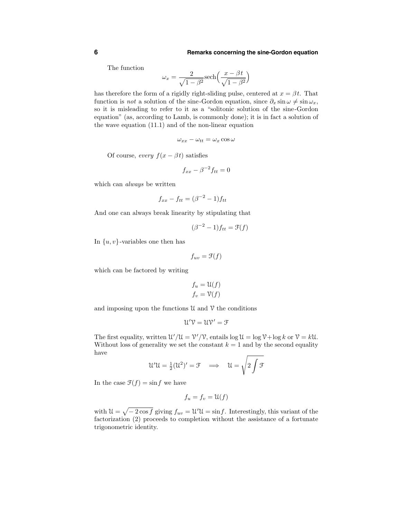The function

$$
\omega_x = \frac{2}{\sqrt{1 - \beta^2}} \text{sech}\left(\frac{x - \beta t}{\sqrt{1 - \beta^2}}\right)
$$

has therefore the form of a rigidly right-sliding pulse, centered at  $x = \beta t$ . That function is *not* a solution of the sine-Gordon equation, since  $\partial_x \sin \omega \neq \sin \omega_x$ , so it is misleading to refer to it as a "solitonic solution of the sine-Gordon equation" (as, according to Lamb, is commonly done); it is in fact a solution of the wave equation (11.1) and of the non-linear equation

$$
\omega_{xx}-\omega_{tt}=\omega_x\cos\omega
$$

Of course, every  $f(x - \beta t)$  satisfies

$$
f_{xx} - \beta^{-2} f_{tt} = 0
$$

which can always be written

$$
f_{xx} - f_{tt} = (\beta^{-2} - 1)f_{tt}
$$

And one can always break linearity by stipulating that

$$
(\beta^{-2} - 1) f_{tt} = \mathfrak{F}(f)
$$

In  $\{u, v\}$ -variables one then has

$$
f_{uv} = \mathcal{F}(f)
$$

which can be factored by writing

$$
f_u = \mathcal{U}(f)
$$

$$
f_v = \mathcal{V}(f)
$$

and imposing upon the functions  $\mathcal U$  and  $\mathcal V$  the conditions

$$
\mathfrak{U}'\mathfrak{V}=\mathfrak{U}\mathfrak{V}'=\mathfrak{F}
$$

The first equality, written  $\mathcal{U}'/\mathcal{U} = \mathcal{V}'/\mathcal{V}$ , entails  $\log \mathcal{U} = \log \mathcal{V} + \log k$  or  $\mathcal{V} = k\mathcal{U}$ . Without loss of generality we set the constant  $k = 1$  and by the second equality have

$$
\mathcal{U}'\mathcal{U} = \tfrac{1}{2}(\mathcal{U}^2)' = \mathcal{F} \quad \Longrightarrow \quad \mathcal{U} = \sqrt{2\int \mathcal{F}}
$$

In the case  $\mathfrak{F}(f) = \sin f$  we have

$$
f_u = f_v = \mathfrak{U}(f)
$$

with  $\mathcal{U} = \sqrt{-2 \cos f}$  giving  $f_{uv} = \mathcal{U}'\mathcal{U} = \sin f$ . Interestingly, this variant of the factorization (2) proceeds to completion without the assistance of a fortunate trigonometric identity.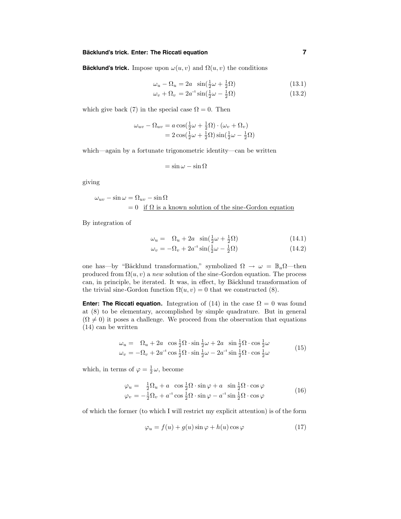# **Bäcklund's trick.** Enter: The Riccati equation **1996 1997**

**Backlund's trick.** Impose upon  $\omega(u, v)$  and  $\Omega(u, v)$  the conditions

$$
\omega_u - \Omega_u = 2a \sin(\frac{1}{2}\omega + \frac{1}{2}\Omega)
$$
\n
$$
\omega_v + \Omega_v = 2a^{-1}\sin(\frac{1}{2}\omega - \frac{1}{2}\Omega)
$$
\n(13.2)

which give back (7) in the special case  $\Omega = 0$ . Then

$$
\omega_{uv} - \Omega_{uv} = a \cos(\frac{1}{2}\omega + \frac{1}{2}\Omega) \cdot (\omega_v + \Omega_v)
$$
  
=  $2 \cos(\frac{1}{2}\omega + \frac{1}{2}\Omega) \sin(\frac{1}{2}\omega - \frac{1}{2}\Omega)$ 

which—again by a fortunate trigonometric identity—can be written

$$
= \sin \omega - \sin \Omega
$$

giving

$$
\omega_{uv} - \sin \omega = \Omega_{uv} - \sin \Omega
$$
  
= 0 if  $\Omega$  is a known solution of the sine-Gordon equation

By integration of

$$
\omega_u = \Omega_u + 2a \sin(\frac{1}{2}\omega + \frac{1}{2}\Omega) \tag{14.1}
$$

$$
\omega_v = -\Omega_v + 2a^{-1}\sin(\frac{1}{2}\omega - \frac{1}{2}\Omega)
$$
 (14.2)

one has—by "Bäcklund transformation," symbolized  $\Omega \rightarrow \omega = \mathbb{B}_a \Omega$ —then produced from  $\Omega(u, v)$  a new solution of the sine-Gordon equation. The process can, in principle, be iterated. It was, in effect, by Bäcklund transformation of the trivial sine-Gordon function  $\Omega(u, v) = 0$  that we constructed (8).

**Enter:** The Riccati equation. Integration of (14) in the case  $\Omega = 0$  was found at (8) to be elementary, accomplished by simple quadrature. But in general  $(\Omega \neq 0)$  it poses a challenge. We proceed from the observation that equations (14) can be written

$$
\omega_u = \Omega_u + 2a \cos \frac{1}{2}\Omega \cdot \sin \frac{1}{2}\omega + 2a \sin \frac{1}{2}\Omega \cdot \cos \frac{1}{2}\omega
$$
  

$$
\omega_v = -\Omega_v + 2a^{-1} \cos \frac{1}{2}\Omega \cdot \sin \frac{1}{2}\omega - 2a^{-1} \sin \frac{1}{2}\Omega \cdot \cos \frac{1}{2}\omega
$$
 (15)

which, in terms of  $\varphi = \frac{1}{2}\omega$ , become

$$
\varphi_u = \frac{1}{2}\Omega_u + a \cos\frac{1}{2}\Omega \cdot \sin\varphi + a \sin\frac{1}{2}\Omega \cdot \cos\varphi \n\varphi_v = -\frac{1}{2}\Omega_v + a^{-1}\cos\frac{1}{2}\Omega \cdot \sin\varphi - a^{-1}\sin\frac{1}{2}\Omega \cdot \cos\varphi
$$
\n(16)

of which the former (to which I will restrict my explicit attention) is of the form

$$
\varphi_u = f(u) + g(u)\sin\varphi + h(u)\cos\varphi \tag{17}
$$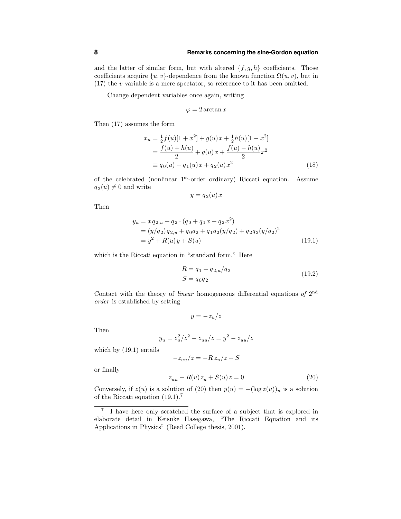and the latter of similar form, but with altered  $\{f, g, h\}$  coefficients. Those coefficients acquire  $\{u, v\}$ -dependence from the known function  $\Omega(u, v)$ , but in  $(17)$  the v variable is a mere spectator, so reference to it has been omitted.

Change dependent variables once again, writing

$$
\varphi = 2 \arctan x
$$

Then (17) assumes the form

$$
x_u = \frac{1}{2}f(u)[1+x^2] + g(u)x + \frac{1}{2}h(u)[1-x^2]
$$
  
= 
$$
\frac{f(u) + h(u)}{2} + g(u)x + \frac{f(u) - h(u)}{2}x^2
$$
  
\equiv 
$$
q_0(u) + q_1(u)x + q_2(u)x^2
$$
 (18)

of the celebrated (nonlinear 1st-order ordinary) Riccati equation. Assume  $q_2(u) \neq 0$  and write

$$
y = q_2(u)x
$$

Then

$$
y_u = x q_{2,u} + q_2 \cdot (q_0 + q_1 x + q_2 x^2)
$$
  
=  $(y/q_2) q_{2,u} + q_0 q_2 + q_1 q_2 (y/q_2) + q_2 q_2 (y/q_2)^2$   
=  $y^2 + R(u)y + S(u)$  (19.1)

which is the Riccati equation in "standard form." Here

$$
R = q_1 + q_{2,u}/q_2
$$
  
\n
$$
S = q_0 q_2
$$
\n(19.2)

Contact with the theory of linear homogeneous differential equations of 2nd order is established by setting

 $y = -z_u/z$ 

Then

$$
y_u = z_u^2/z^2 - z_{uu}/z = y^2 - z_{uu}/z
$$

which by (19.1) entails

$$
-z_{uu}/z=-R\,z_u/z+S
$$

or finally

$$
z_{uu} - R(u)z_u + S(u)z = 0
$$
\n(20)

Conversely, if  $z(u)$  is a solution of (20) then  $y(u) = -(\log z(u))_u$  is a solution of the Riccati equation (19.1).<sup>7</sup>

<sup>7</sup> I have here only scratched the surface of a subject that is explored in elaborate detail in Keisuke Hasegawa, "The Riccati Equation and its Applications in Physics" (Reed College thesis, 2001).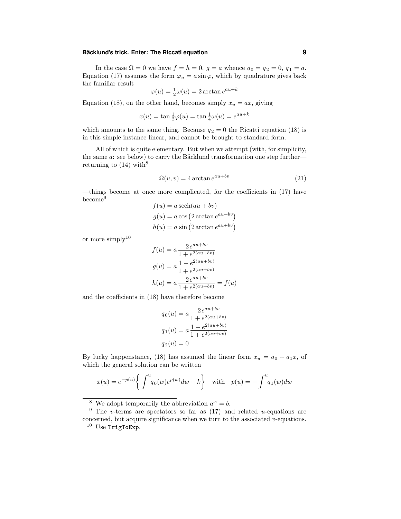# **Bäcklund's trick.** Enter: The Riccati equation **9**

In the case  $\Omega = 0$  we have  $f = h = 0$ ,  $g = a$  whence  $q_0 = q_2 = 0$ ,  $q_1 = a$ . Equation (17) assumes the form  $\varphi_u = a \sin \varphi$ , which by quadrature gives back the familiar result

$$
\varphi(u) = \frac{1}{2}\omega(u) = 2\arctan e^{au+k}
$$

Equation (18), on the other hand, becomes simply  $x_u = ax$ , giving

$$
x(u) = \tan \frac{1}{2}\varphi(u) = \tan \frac{1}{4}\omega(u) = e^{au + k}
$$

which amounts to the same thing. Because  $q_2 = 0$  the Ricatti equation (18) is in this simple instance linear, and cannot be brought to standard form.

All of which is quite elementary. But when we attempt (with, for simplicity, the same  $a$ : see below) to carry the Bäcklund transformation one step further returning to  $(14)$  with<sup>8</sup>

$$
\Omega(u, v) = 4 \arctan e^{au + bv} \tag{21}
$$

—things become at once more complicated, for the coefficients in (17) have become<sup>9</sup>  $f(x) = 1 \left(1, 1\right)$ 

$$
f(u) = a \operatorname{sech}(au + bv)
$$

$$
g(u) = a \cos(2 \arctan e^{au + bv})
$$

$$
h(u) = a \sin(2 \arctan e^{au + bv})
$$

or more simply<sup>10</sup>

$$
f(u) = a \frac{2e^{au + bv}}{1 + e^{2(au + bv)}}
$$

$$
g(u) = a \frac{1 - e^{2(au + bv)}}{1 + e^{2(au + bv)}}
$$

$$
h(u) = a \frac{2e^{au + bv}}{1 + e^{2(au + bv)}} = f(u)
$$

and the coefficients in (18) have therefore become

$$
q_0(u) = a \frac{2e^{au + bv}}{1 + e^{2(au + bv)}}
$$

$$
q_1(u) = a \frac{1 - e^{2(au + bv)}}{1 + e^{2(au + bv)}}
$$

$$
q_2(u) = 0
$$

By lucky happenstance, (18) has assumed the linear form  $x_u = q_0 + q_1 x$ , of which the general solution can be written

$$
x(u) = e^{-p(u)} \left\{ \int^u q_0(w) e^{p(w)} dw + k \right\} \quad \text{with} \quad p(u) = - \int^u q_1(w) dw
$$

<sup>&</sup>lt;sup>8</sup> We adopt temporarily the abbreviation  $a^{-1} = b$ .

<sup>&</sup>lt;sup>9</sup> The v-terms are spectators so far as  $(17)$  and related u-equations are concerned, but acquire significance when we turn to the associated  $v$ -equations. <sup>10</sup> Use TrigToExp.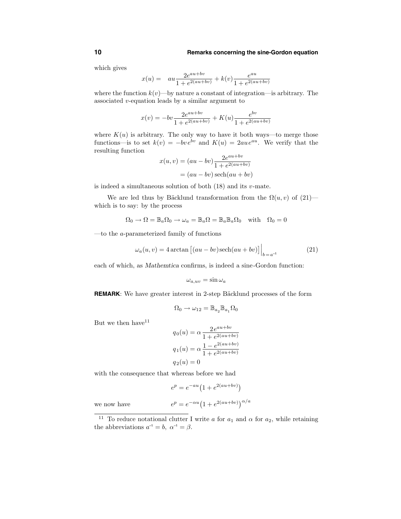which gives

$$
x(u) = au \frac{2e^{au + bv}}{1 + e^{2(au + bv)}} + k(v) \frac{e^{au}}{1 + e^{2(au + bv)}}
$$

where the function  $k(v)$ —by nature a constant of integration—is arbitrary. The associated v-equation leads by a similar argument to

$$
x(v) = -bv \frac{2e^{au + bv}}{1 + e^{2(au + bv)}} + K(u) \frac{e^{bv}}{1 + e^{2(au + bv)}}
$$

where  $K(u)$  is arbitrary. The only way to have it both ways—to merge those functions—is to set  $k(v) = -bv e^{\dot{b}v}$  and  $K(u) = 2au e^{au}$ . We verify that the resulting function

$$
x(u, v) = (au - bv)\frac{2e^{au + bv}}{1 + e^{2(au + bv)}}
$$

$$
= (au - bv)\operatorname{sech}(au + bv)
$$

is indeed a simultaneous solution of both  $(18)$  and its v-mate.

We are led thus by Bäcklund transformation from the  $\Omega(u, v)$  of  $(21)$  which is to say: by the process

$$
\Omega_0 \to \Omega = \mathbb{B}_a \Omega_0 \to \omega_a = \mathbb{B}_a \Omega = \mathbb{B}_a \mathbb{B}_a \Omega_0 \text{ with } \Omega_0 = 0
$$

—to the a-parameterized family of functions

$$
\omega_a(u,v) = 4 \arctan \left[ (au - bv) \operatorname{sech}(au + bv) \right] \Big|_{b = a^{-1}} \tag{21}
$$

each of which, as Mathemtica confirms, is indeed a sine-Gordon function:

$$
\omega_{a,uv} = \sin \omega_a
$$

**REMARK:** We have greater interest in 2-step Bäcklund processes of the form

$$
\Omega_0 \to \omega_{12} = \mathbb{B}_{a_2} \mathbb{B}_{a_1} \Omega_0
$$

But we then have  $11$ 

$$
q_0(u) = \alpha \frac{2e^{au+bv}}{1 + e^{2(au+bv)}}
$$

$$
q_1(u) = \alpha \frac{1 - e^{2(au+bv)}}{1 + e^{2(au+bv)}}
$$

$$
q_2(u) = 0
$$

with the consequence that whereas before we had

$$
e^p = e^{-au} (1 + e^{2(au + bv)})
$$

we now have  $e^p = e^{-\alpha u} \left(1 + e^{2(au+bv)}\right)^{\alpha/a}$ 

<sup>&</sup>lt;sup>11</sup> To reduce notational clutter I write a for  $a_1$  and  $\alpha$  for  $a_2$ , while retaining the abbreviations  $a^{-1} = b$ ,  $\alpha^{-1} = \beta$ .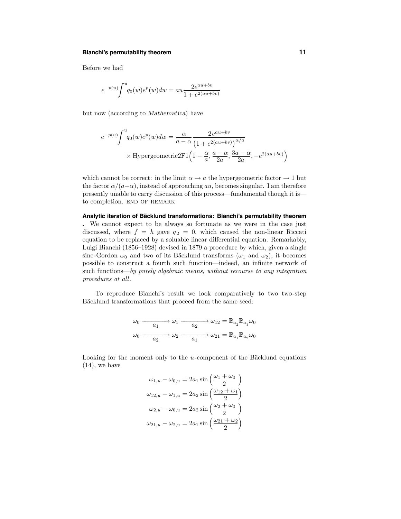# **Bianchi's permutability theorem 11**

Before we had

$$
e^{-p(u)} \!\!\int^u \!\! q_0(w) e^p(w) dw = au \frac{2 e^{au +bv}}{1 + e^{2(au +bv)}}
$$

but now (according to Mathematica) have

$$
e^{-p(u)} \int^{u} q_0(w) e^p(w) dw = \frac{\alpha}{a - \alpha} \frac{2 e^{au + bv}}{\left(1 + e^{2(au + bv)}\right)^{\alpha/a}}
$$
  
× Hypergeometric2F1 $\left(1 - \frac{\alpha}{a}, \frac{a - \alpha}{2a}, \frac{3a - \alpha}{2a}, -e^{2(au + bv)}\right)$ 

which cannot be correct: in the limit  $\alpha \to a$  the hypergeometric factor  $\to 1$  but the factor  $\alpha/(a-\alpha)$ , instead of approaching au, becomes singular. I am therefore presently unable to carry discussion of this process—fundamental though it is to completion. END OF REMARK

**Analytic iteration of Bac¨ klund transformations: Bianchi's permutability theorem .** We cannot expect to be always so fortunate as we were in the case just discussed, where  $f = h$  gave  $q_2 = 0$ , which caused the non-linear Riccati equation to be replaced by a soluable linear differential equation. Remarkably, Luigi Bianchi (1856–1928) devised in 1879 a procedure by which, given a single sine-Gordon  $\omega_0$  and two of its Bäcklund transforms  $(\omega_1$  and  $\omega_2)$ , it becomes possible to construct a fourth such function—indeed, an infinite network of such functions—by purely algebraic means, without recourse to any integration procedures at all.

To reproduce Bianchi's result we look comparatively to two two-step Bäcklund transformations that proceed from the same seed:

$$
\omega_0 \xrightarrow{\qquad \qquad \omega_1 \qquad \qquad \omega_2 \qquad \qquad } \omega_{12} = \mathbb{B}_{a_2} \mathbb{B}_{a_1} \omega_0
$$

$$
\omega_0 \xrightarrow{\qquad \qquad \omega_2 \qquad \qquad \qquad } \omega_2 \xrightarrow{\qquad \qquad \omega_{21} \qquad \qquad } \mathbb{B}_{a_1} \mathbb{B}_{a_2} \omega_0
$$

Looking for the moment only to the  $u$ -component of the Bäcklund equations (14), we have

$$
\omega_{1,u} - \omega_{0,u} = 2a_1 \sin\left(\frac{\omega_1 + \omega_0}{2}\right)
$$

$$
\omega_{12,u} - \omega_{1,u} = 2a_2 \sin\left(\frac{\omega_{12} + \omega_1}{2}\right)
$$

$$
\omega_{2,u} - \omega_{0,u} = 2a_2 \sin\left(\frac{\omega_2 + \omega_0}{2}\right)
$$

$$
\omega_{21,u} - \omega_{2,u} = 2a_1 \sin\left(\frac{\omega_{21} + \omega_2}{2}\right)
$$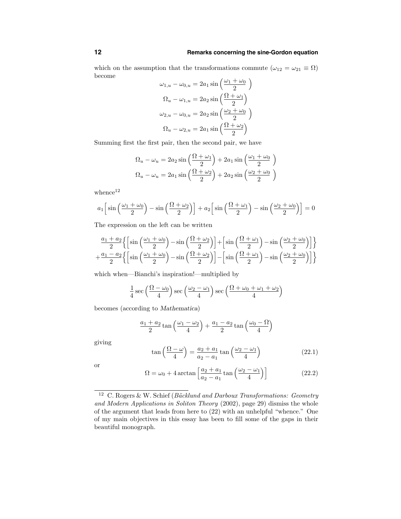which on the assumption that the transformations commute  $(\omega_{12} = \omega_{21} \equiv \Omega)$ become

$$
\omega_{1,u} - \omega_{0,u} = 2a_1 \sin\left(\frac{\omega_1 + \omega_0}{2}\right)
$$

$$
\Omega_u - \omega_{1,u} = 2a_2 \sin\left(\frac{\Omega + \omega_1}{2}\right)
$$

$$
\omega_{2,u} - \omega_{0,u} = 2a_2 \sin\left(\frac{\omega_2 + \omega_0}{2}\right)
$$

$$
\Omega_u - \omega_{2,u} = 2a_1 \sin\left(\frac{\Omega + \omega_2}{2}\right)
$$

Summing first the first pair, then the second pair, we have

$$
\Omega_u - \omega_u = 2a_2 \sin\left(\frac{\Omega + \omega_1}{2}\right) + 2a_1 \sin\left(\frac{\omega_1 + \omega_0}{2}\right)
$$

$$
\Omega_u - \omega_u = 2a_1 \sin\left(\frac{\Omega + \omega_2}{2}\right) + 2a_2 \sin\left(\frac{\omega_2 + \omega_0}{2}\right)
$$

whence $12$ 

$$
a_1 \left[\sin\left(\frac{\omega_1 + \omega_0}{2}\right) - \sin\left(\frac{\Omega + \omega_2}{2}\right)\right] + a_2 \left[\sin\left(\frac{\Omega + \omega_1}{2}\right) - \sin\left(\frac{\omega_2 + \omega_0}{2}\right)\right] = 0
$$

The expression on the left can be written

$$
\frac{a_1 + a_2}{2} \left\{ \left[ \sin\left(\frac{\omega_1 + \omega_0}{2}\right) - \sin\left(\frac{\Omega + \omega_2}{2}\right) \right] + \left[ \sin\left(\frac{\Omega + \omega_1}{2}\right) - \sin\left(\frac{\omega_2 + \omega_0}{2}\right) \right] \right\}
$$

$$
+ \frac{a_1 - a_2}{2} \left\{ \left[ \sin\left(\frac{\omega_1 + \omega_0}{2}\right) - \sin\left(\frac{\Omega + \omega_2}{2}\right) \right] - \left[ \sin\left(\frac{\Omega + \omega_1}{2}\right) - \sin\left(\frac{\omega_2 + \omega_0}{2}\right) \right] \right\}
$$

which when—Bianchi's inspiration!—multiplied by

$$
\frac{1}{4}\sec\left(\frac{\Omega-\omega_0}{4}\right)\sec\left(\frac{\omega_2-\omega_1}{4}\right)\sec\left(\frac{\Omega+\omega_0+\omega_1+\omega_2}{4}\right)
$$

becomes (according to Mathematica)

$$
\frac{a_1 + a_2}{2} \tan\left(\frac{\omega_1 - \omega_2}{4}\right) + \frac{a_1 - a_2}{2} \tan\left(\frac{\omega_0 - \Omega}{4}\right)
$$

giving

$$
\tan\left(\frac{\Omega-\omega}{4}\right) = \frac{a_2+a_1}{a_2-a_1}\tan\left(\frac{\omega_2-\omega_1}{4}\right) \tag{22.1}
$$

or

$$
\Omega = \omega_0 + 4 \arctan\left[\frac{a_2 + a_1}{a_2 - a_1} \tan\left(\frac{\omega_2 - \omega_1}{4}\right)\right]
$$
\n(22.2)

 $12$  C. Rogers & W. Schief (Bäcklund and Darboux Transformations: Geometry and Modern Applications in Soliton Theory (2002), page 29) dismiss the whole of the argument that leads from here to (22) with an unhelpful "whence." One of my main objectives in this essay has been to fill some of the gaps in their beautiful monograph.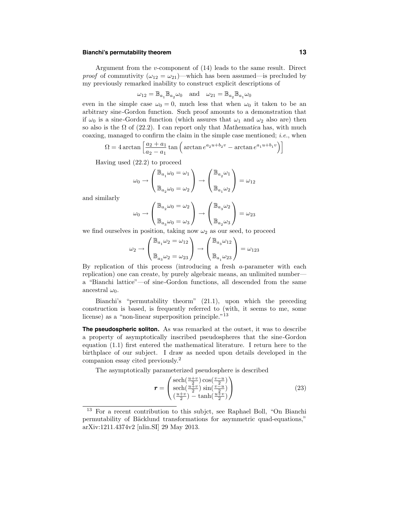#### **Bianchi's permutability theorem 13**

Argument from the v-component of (14) leads to the same result. Direct *proof* of commutivity  $(\omega_{12} = \omega_{21})$ —which has been assumed—is precluded by my previously remarked inability to construct explicit descriptions of

$$
\omega_{12}=\mathbb{B}_{a_1}\mathbb{B}_{a_2}\omega_0\quad\text{and}\quad\omega_{21}=\mathbb{B}_{a_2}\mathbb{B}_{a_1}\omega_0
$$

even in the simple case  $\omega_0 = 0$ , much less that when  $\omega_0$  it taken to be an arbitrary sine-Gordon function. Such proof amounts to a demonstration that if  $\omega_0$  is a sine-Gordon function (which assures that  $\omega_1$  and  $\omega_2$  also are) then so also is the  $\Omega$  of (22.2). I can report only that Mathematica has, with much coaxing, managed to confirm the claim in the simple case mentioned; i.e., when

$$
\Omega = 4 \arctan \left[ \frac{a_2 + a_1}{a_2 - a_1} \tan \left( \arctan e^{a_2 u + b_2 v} - \arctan e^{a_1 u + b_1 v} \right) \right]
$$

Having used (22.2) to proceed

$$
\omega_0 \to \begin{pmatrix} \mathbb{B}_{a_1} \omega_0 = \omega_1 \\ \mathbb{B}_{a_2} \omega_0 = \omega_2 \end{pmatrix} \to \begin{pmatrix} \mathbb{B}_{a_2} \omega_1 \\ \mathbb{B}_{a_1} \omega_2 \end{pmatrix} = \omega_{12}
$$

and similarly

$$
\omega_0 \to \begin{pmatrix} \mathbb{B}_{a_2}\omega_0 = \omega_2 \\ \vdots \\ \mathbb{B}_{a_3}\omega_0 = \omega_3 \end{pmatrix} \to \begin{pmatrix} \mathbb{B}_{a_3}\omega_2 \\ \vdots \\ \mathbb{B}_{a_2}\omega_3 \end{pmatrix} = \omega_{23}
$$

we find ourselves in position, taking now  $\omega_2$  as our seed, to proceed

$$
\omega_2 \rightarrow \begin{pmatrix} \mathbb{B}_{a_1} \omega_2 = \omega_{12} \\ \mathbb{B}_{a_3} \omega_2 = \omega_{23} \end{pmatrix} \rightarrow \begin{pmatrix} \mathbb{B}_{a_3} \omega_{12} \\ \mathbb{B}_{a_1} \omega_{23} \end{pmatrix} = \omega_{123}
$$

By replication of this process (introducing a fresh a-parameter with each replication) one can create, by purely algebraic means, an unlimited number a "Bianchi lattice"—of sine-Gordon functions, all descended from the same ancestral  $\omega_0$ .

Bianchi's "permutability theorm" (21.1), upon which the preceding construction is based, is frequently referred to (with, it seems to me, some license) as a "non-linear superposition principle."<sup>13</sup>

**The pseudospheric soliton.** As was remarked at the outset, it was to describe a property of asymptotically inscribed pseudospheres that the sine-Gordon equation (1.1) first entered the mathematical literature. I return here to the birthplace of our subject. I draw as needed upon details developed in the companion essay cited previously. 2

The asymptotically parameterized pseudosphere is described

$$
\mathbf{r} = \begin{pmatrix} \text{sech}\left(\frac{u+v}{2}\right)\cos\left(\frac{v-u}{2}\right) \\ \text{sech}\left(\frac{u+v}{2}\right)\sin\left(\frac{v-u}{2}\right) \\ \left(\frac{u+v}{2}\right) - \tanh\left(\frac{u+v}{2}\right) \end{pmatrix} \tag{23}
$$

<sup>13</sup> For a recent contribution to this subjct, see Raphael Boll, "On Bianchi permutability of Bäcklund transformations for asymmetric quad-equations," arXiv:1211.4374v2 [nlin.SI] 29 May 2013.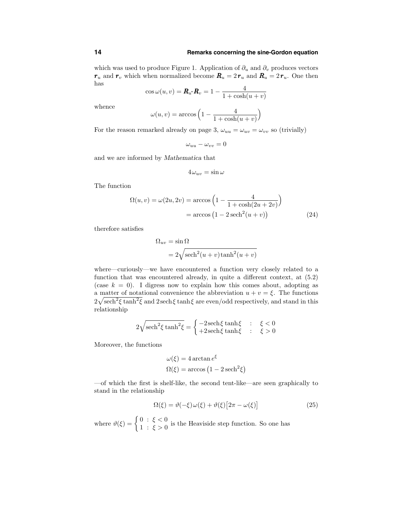which was used to produce Figure 1. Application of  $\partial_u$  and  $\partial_v$  produces vectors  $r_u$  and  $r_v$  which when normalized become  $R_u = 2r_u$  and  $R_u = 2r_u$ . One then has

$$
\cos \omega(u, v) = \mathbf{R}_u \cdot \mathbf{R}_v = 1 - \frac{4}{1 + \cosh(u + v)}
$$

whence

$$
\omega(u,v)=\arccos\Big(1-\frac{4}{1+\cosh(u+v)}\Big)
$$

For the reason remarked already on page 3,  $\omega_{uu} = \omega_{uv} = \omega_{vv}$  so (trivially)

$$
\omega_{uu}-\omega_{vv}=0
$$

and we are informed by Mathematica that

$$
4\,\omega_{uv}=\sin\omega
$$

The function

$$
\Omega(u, v) = \omega(2u, 2v) = \arccos\left(1 - \frac{4}{1 + \cosh(2u + 2v)}\right)
$$

$$
= \arccos\left(1 - 2\operatorname{sech}^2(u + v)\right) \tag{24}
$$

therefore satisfies

$$
\Omega_{uv} = \sin \Omega
$$
  
=  $2\sqrt{\text{sech}^2(u+v)\tanh^2(u+v)}$ 

where—curiously—we have encountered a function very closely related to a function that was encountered already, in quite a different context, at (5.2) (case  $k = 0$ ). I digress now to explain how this comes about, adopting as a matter of notational convenience the abbreviation  $u + v = \xi$ . The functions  $2\sqrt{\text{sech}^2 \xi \tanh^2 \xi}$  and  $2\text{sech}\xi \tanh \xi$  are even/odd respectively, and stand in this relationship

$$
2\sqrt{\text{sech}^2\xi\tanh^2\xi} = \begin{cases} -2\,\text{sech}\,\xi\tanh\xi & : \quad \xi < 0\\ +2\,\text{sech}\,\xi\tanh\xi & : \quad \xi > 0 \end{cases}
$$

Moreover, the functions

$$
\omega(\xi) = 4 \arctan e^{\xi}
$$
  

$$
\Omega(\xi) = \arccos (1 - 2 \operatorname{sech}^2 \xi)
$$

—of which the first is shelf-like, the second tent-like—are seen graphically to stand in the relationship

$$
\Omega(\xi) = \vartheta(-\xi)\,\omega(\xi) + \vartheta(\xi)\big[2\pi - \omega(\xi)\big] \tag{25}
$$

where  $\vartheta(\xi) = \begin{cases} 0 : \xi < 0 \\ 1 : \xi > 0 \end{cases}$  $1 : \xi > 0$  is the Heaviside step function. So one has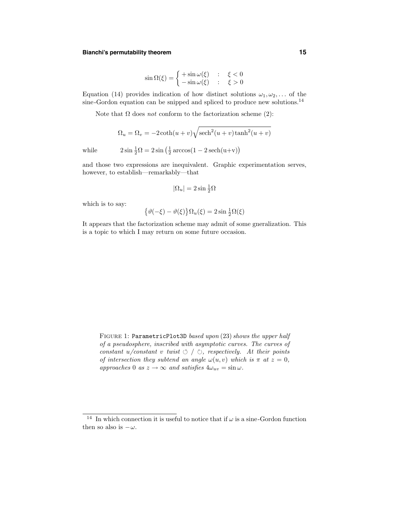### **Bianchi's permutability theorem 15**

$$
\sin \Omega(\xi) = \begin{cases} +\sin \omega(\xi) & : & \xi < 0 \\ -\sin \omega(\xi) & : & \xi > 0 \end{cases}
$$

Equation (14) provides indication of how distinct solutions  $\omega_1, \omega_2, \ldots$  of the sine-Gordon equation can be snipped and spliced to produce new solutions.<sup>14</sup>

Note that  $\Omega$  does *not* conform to the factorization scheme (2):

$$
\Omega_u = \Omega_v = -2 \coth(u+v) \sqrt{\mathrm{sech}^2(u+v)\tanh^2(u+v)}
$$

while 
$$
2\sin\frac{1}{2}\Omega = 2\sin\left(\frac{1}{2}\arccos(1-2\operatorname{sech}(u+v)\right)
$$

and those two expressions are inequivalent. Graphic experimentation serves, however, to establish—remarkably—that

$$
|\Omega_u| = 2\sin\frac{1}{2}\Omega
$$

which is to say:

$$
\{\vartheta(-\xi) - \vartheta(\xi)\}\Omega_u(\xi) = 2\sin\frac{1}{2}\Omega(\xi)
$$

It appears that the factorization scheme may admit of some gneralization. This is a topic to which I may return on some future occasion.

FIGURE 1: ParametricPlot3D based upon (23) shows the upper half of a pseudosphere, inscribed with asymptotic curves. The curves of constant u/constant v twist  $\circ$  /  $\circ$ , respectively. At their points of intersection they subtend an angle  $\omega(u, v)$  which is  $\pi$  at  $z = 0$ , approaches 0 as  $z \to \infty$  and satisfies  $4\omega_{uv} = \sin \omega$ .

<sup>&</sup>lt;sup>14</sup> In which connection it is useful to notice that if  $\omega$  is a sine-Gordon function then so also is  $-\omega$ .